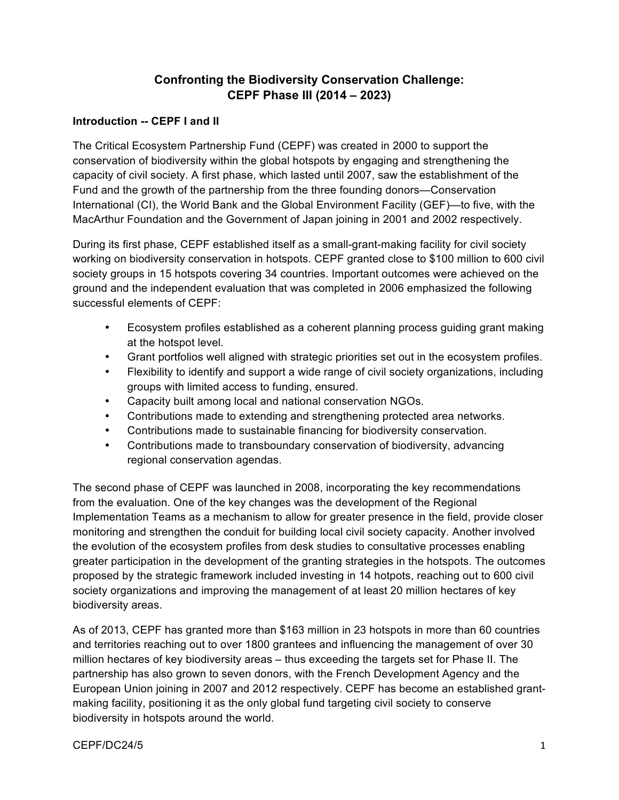# **Confronting the Biodiversity Conservation Challenge: CEPF Phase III (2014 – 2023)**

#### **Introduction -- CEPF I and II**

The Critical Ecosystem Partnership Fund (CEPF) was created in 2000 to support the conservation of biodiversity within the global hotspots by engaging and strengthening the capacity of civil society. A first phase, which lasted until 2007, saw the establishment of the Fund and the growth of the partnership from the three founding donors—Conservation International (CI), the World Bank and the Global Environment Facility (GEF)—to five, with the MacArthur Foundation and the Government of Japan joining in 2001 and 2002 respectively.

During its first phase, CEPF established itself as a small-grant-making facility for civil society working on biodiversity conservation in hotspots. CEPF granted close to \$100 million to 600 civil society groups in 15 hotspots covering 34 countries. Important outcomes were achieved on the ground and the independent evaluation that was completed in 2006 emphasized the following successful elements of CEPF:

- Ecosystem profiles established as a coherent planning process guiding grant making at the hotspot level.
- Grant portfolios well aligned with strategic priorities set out in the ecosystem profiles.
- Flexibility to identify and support a wide range of civil society organizations, including groups with limited access to funding, ensured.
- Capacity built among local and national conservation NGOs.
- Contributions made to extending and strengthening protected area networks.
- Contributions made to sustainable financing for biodiversity conservation.
- Contributions made to transboundary conservation of biodiversity, advancing regional conservation agendas.

The second phase of CEPF was launched in 2008, incorporating the key recommendations from the evaluation. One of the key changes was the development of the Regional Implementation Teams as a mechanism to allow for greater presence in the field, provide closer monitoring and strengthen the conduit for building local civil society capacity. Another involved the evolution of the ecosystem profiles from desk studies to consultative processes enabling greater participation in the development of the granting strategies in the hotspots. The outcomes proposed by the strategic framework included investing in 14 hotpots, reaching out to 600 civil society organizations and improving the management of at least 20 million hectares of key biodiversity areas.

As of 2013, CEPF has granted more than \$163 million in 23 hotspots in more than 60 countries and territories reaching out to over 1800 grantees and influencing the management of over 30 million hectares of key biodiversity areas – thus exceeding the targets set for Phase II. The partnership has also grown to seven donors, with the French Development Agency and the European Union joining in 2007 and 2012 respectively. CEPF has become an established grantmaking facility, positioning it as the only global fund targeting civil society to conserve biodiversity in hotspots around the world.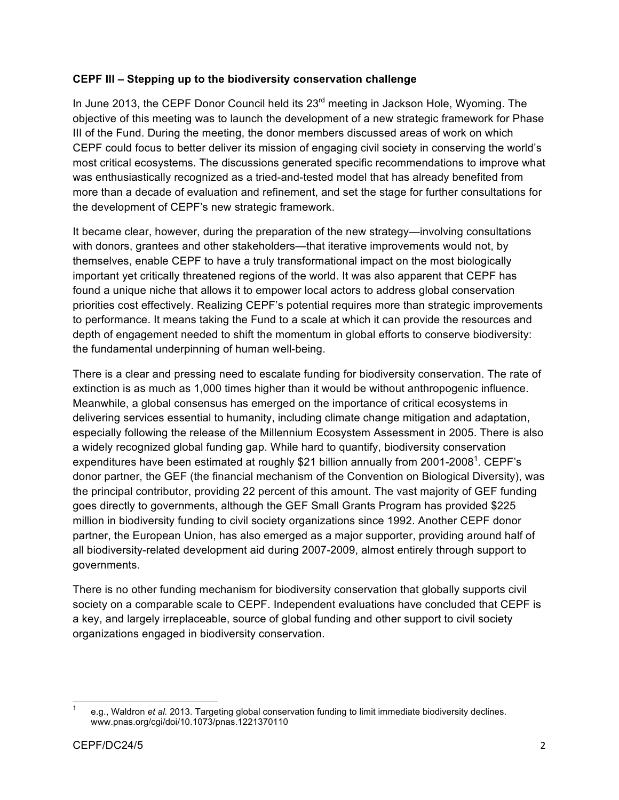#### **CEPF III – Stepping up to the biodiversity conservation challenge**

In June 2013, the CEPF Donor Council held its 23<sup>rd</sup> meeting in Jackson Hole, Wyoming. The objective of this meeting was to launch the development of a new strategic framework for Phase III of the Fund. During the meeting, the donor members discussed areas of work on which CEPF could focus to better deliver its mission of engaging civil society in conserving the world's most critical ecosystems. The discussions generated specific recommendations to improve what was enthusiastically recognized as a tried-and-tested model that has already benefited from more than a decade of evaluation and refinement, and set the stage for further consultations for the development of CEPF's new strategic framework.

It became clear, however, during the preparation of the new strategy—involving consultations with donors, grantees and other stakeholders—that iterative improvements would not, by themselves, enable CEPF to have a truly transformational impact on the most biologically important yet critically threatened regions of the world. It was also apparent that CEPF has found a unique niche that allows it to empower local actors to address global conservation priorities cost effectively. Realizing CEPF's potential requires more than strategic improvements to performance. It means taking the Fund to a scale at which it can provide the resources and depth of engagement needed to shift the momentum in global efforts to conserve biodiversity: the fundamental underpinning of human well-being.

There is a clear and pressing need to escalate funding for biodiversity conservation. The rate of extinction is as much as 1,000 times higher than it would be without anthropogenic influence. Meanwhile, a global consensus has emerged on the importance of critical ecosystems in delivering services essential to humanity, including climate change mitigation and adaptation, especially following the release of the Millennium Ecosystem Assessment in 2005. There is also a widely recognized global funding gap. While hard to quantify, biodiversity conservation expenditures have been estimated at roughly \$21 billion annually from 2001-2008<sup>1</sup>. CEPF's donor partner, the GEF (the financial mechanism of the Convention on Biological Diversity), was the principal contributor, providing 22 percent of this amount. The vast majority of GEF funding goes directly to governments, although the GEF Small Grants Program has provided \$225 million in biodiversity funding to civil society organizations since 1992. Another CEPF donor partner, the European Union, has also emerged as a major supporter, providing around half of all biodiversity-related development aid during 2007-2009, almost entirely through support to governments.

There is no other funding mechanism for biodiversity conservation that globally supports civil society on a comparable scale to CEPF. Independent evaluations have concluded that CEPF is a key, and largely irreplaceable, source of global funding and other support to civil society organizations engaged in biodiversity conservation.

e.g., Waldron *et al.* 2013. Targeting global conservation funding to limit immediate biodiversity declines. www.pnas.org/cgi/doi/10.1073/pnas.1221370110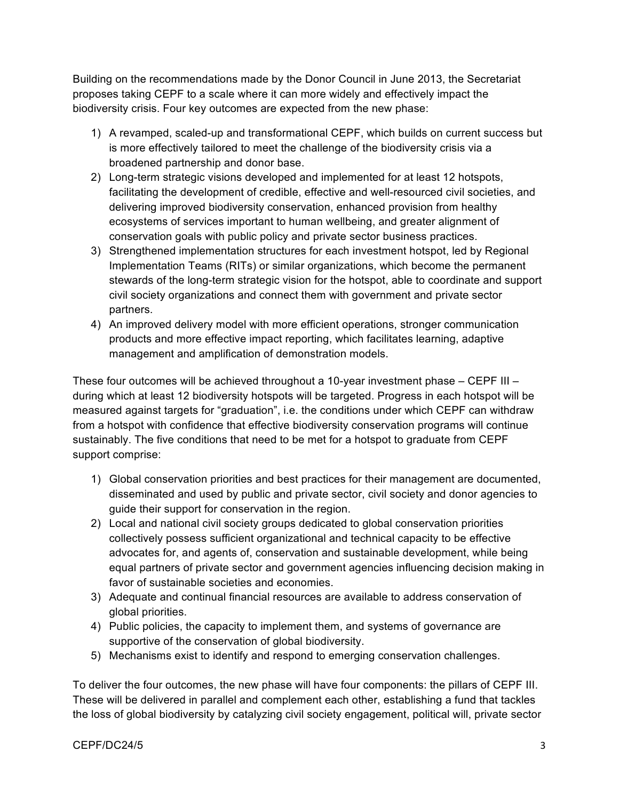Building on the recommendations made by the Donor Council in June 2013, the Secretariat proposes taking CEPF to a scale where it can more widely and effectively impact the biodiversity crisis. Four key outcomes are expected from the new phase:

- 1) A revamped, scaled-up and transformational CEPF, which builds on current success but is more effectively tailored to meet the challenge of the biodiversity crisis via a broadened partnership and donor base.
- 2) Long-term strategic visions developed and implemented for at least 12 hotspots, facilitating the development of credible, effective and well-resourced civil societies, and delivering improved biodiversity conservation, enhanced provision from healthy ecosystems of services important to human wellbeing, and greater alignment of conservation goals with public policy and private sector business practices.
- 3) Strengthened implementation structures for each investment hotspot, led by Regional Implementation Teams (RITs) or similar organizations, which become the permanent stewards of the long-term strategic vision for the hotspot, able to coordinate and support civil society organizations and connect them with government and private sector partners.
- 4) An improved delivery model with more efficient operations, stronger communication products and more effective impact reporting, which facilitates learning, adaptive management and amplification of demonstration models.

These four outcomes will be achieved throughout a 10-year investment phase – CEPF III – during which at least 12 biodiversity hotspots will be targeted. Progress in each hotspot will be measured against targets for "graduation", i.e. the conditions under which CEPF can withdraw from a hotspot with confidence that effective biodiversity conservation programs will continue sustainably. The five conditions that need to be met for a hotspot to graduate from CEPF support comprise:

- 1) Global conservation priorities and best practices for their management are documented, disseminated and used by public and private sector, civil society and donor agencies to guide their support for conservation in the region.
- 2) Local and national civil society groups dedicated to global conservation priorities collectively possess sufficient organizational and technical capacity to be effective advocates for, and agents of, conservation and sustainable development, while being equal partners of private sector and government agencies influencing decision making in favor of sustainable societies and economies.
- 3) Adequate and continual financial resources are available to address conservation of global priorities.
- 4) Public policies, the capacity to implement them, and systems of governance are supportive of the conservation of global biodiversity.
- 5) Mechanisms exist to identify and respond to emerging conservation challenges.

To deliver the four outcomes, the new phase will have four components: the pillars of CEPF III. These will be delivered in parallel and complement each other, establishing a fund that tackles the loss of global biodiversity by catalyzing civil society engagement, political will, private sector

#### CEPF/DC24/5 3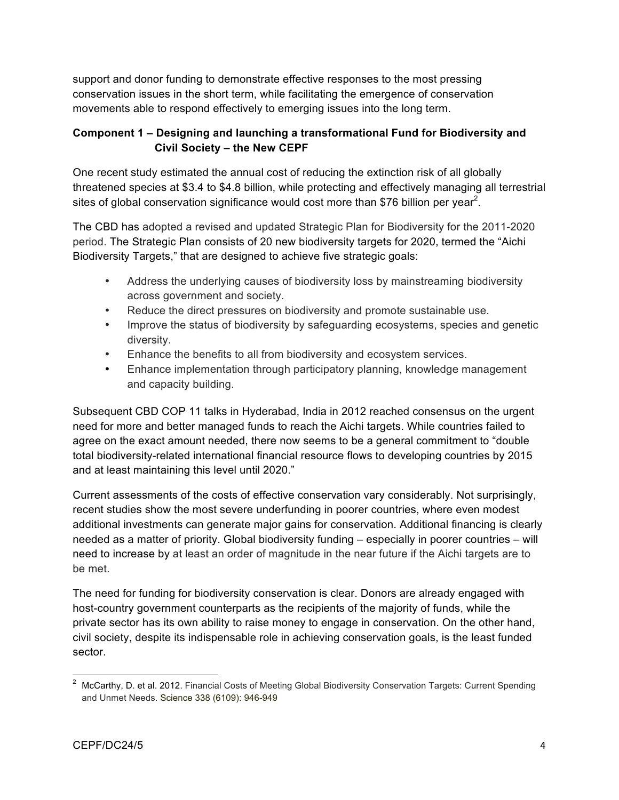support and donor funding to demonstrate effective responses to the most pressing conservation issues in the short term, while facilitating the emergence of conservation movements able to respond effectively to emerging issues into the long term.

## **Component 1 – Designing and launching a transformational Fund for Biodiversity and Civil Society – the New CEPF**

One recent study estimated the annual cost of reducing the extinction risk of all globally threatened species at \$3.4 to \$4.8 billion, while protecting and effectively managing all terrestrial sites of global conservation significance would cost more than \$76 billion per year<sup>2</sup>.

The CBD has adopted a revised and updated Strategic Plan for Biodiversity for the 2011-2020 period. The Strategic Plan consists of 20 new biodiversity targets for 2020, termed the "Aichi Biodiversity Targets," that are designed to achieve five strategic goals:

- Address the underlying causes of biodiversity loss by mainstreaming biodiversity across government and society.
- Reduce the direct pressures on biodiversity and promote sustainable use.
- Improve the status of biodiversity by safeguarding ecosystems, species and genetic diversity.
- Enhance the benefits to all from biodiversity and ecosystem services.
- Enhance implementation through participatory planning, knowledge management and capacity building.

Subsequent CBD COP 11 talks in Hyderabad, India in 2012 reached consensus on the urgent need for more and better managed funds to reach the Aichi targets. While countries failed to agree on the exact amount needed, there now seems to be a general commitment to "double total biodiversity-related international financial resource flows to developing countries by 2015 and at least maintaining this level until 2020."

Current assessments of the costs of effective conservation vary considerably. Not surprisingly, recent studies show the most severe underfunding in poorer countries, where even modest additional investments can generate major gains for conservation. Additional financing is clearly needed as a matter of priority. Global biodiversity funding – especially in poorer countries – will need to increase by at least an order of magnitude in the near future if the Aichi targets are to be met.

The need for funding for biodiversity conservation is clear. Donors are already engaged with host-country government counterparts as the recipients of the majority of funds, while the private sector has its own ability to raise money to engage in conservation. On the other hand, civil society, despite its indispensable role in achieving conservation goals, is the least funded sector.

<sup>&</sup>lt;sup>2</sup> McCarthy, D. et al. 2012. Financial Costs of Meeting Global Biodiversity Conservation Targets: Current Spending and Unmet Needs. Science 338 (6109): 946-949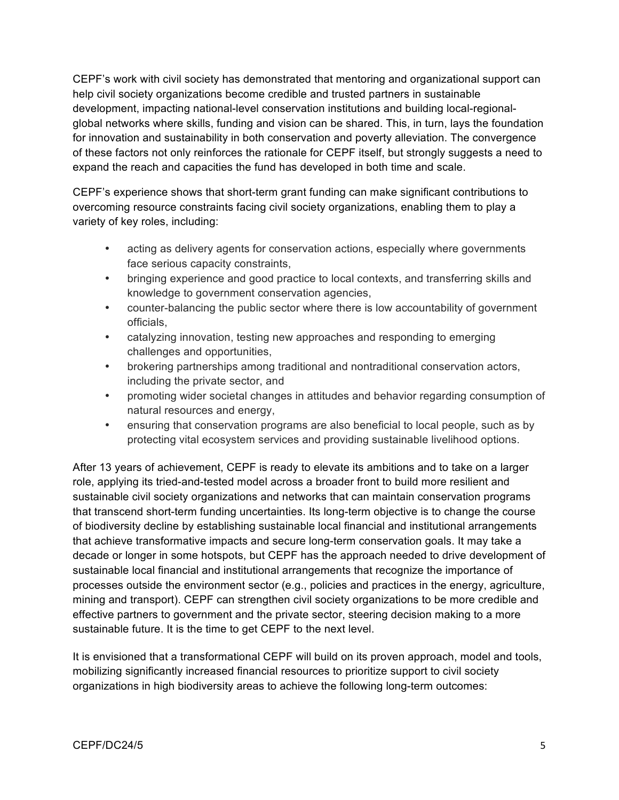CEPF's work with civil society has demonstrated that mentoring and organizational support can help civil society organizations become credible and trusted partners in sustainable development, impacting national-level conservation institutions and building local-regionalglobal networks where skills, funding and vision can be shared. This, in turn, lays the foundation for innovation and sustainability in both conservation and poverty alleviation. The convergence of these factors not only reinforces the rationale for CEPF itself, but strongly suggests a need to expand the reach and capacities the fund has developed in both time and scale.

CEPF's experience shows that short-term grant funding can make significant contributions to overcoming resource constraints facing civil society organizations, enabling them to play a variety of key roles, including:

- acting as delivery agents for conservation actions, especially where governments face serious capacity constraints,
- bringing experience and good practice to local contexts, and transferring skills and knowledge to government conservation agencies,
- counter-balancing the public sector where there is low accountability of government officials,
- catalyzing innovation, testing new approaches and responding to emerging challenges and opportunities,
- brokering partnerships among traditional and nontraditional conservation actors, including the private sector, and
- promoting wider societal changes in attitudes and behavior regarding consumption of natural resources and energy,
- ensuring that conservation programs are also beneficial to local people, such as by protecting vital ecosystem services and providing sustainable livelihood options.

After 13 years of achievement, CEPF is ready to elevate its ambitions and to take on a larger role, applying its tried-and-tested model across a broader front to build more resilient and sustainable civil society organizations and networks that can maintain conservation programs that transcend short-term funding uncertainties. Its long-term objective is to change the course of biodiversity decline by establishing sustainable local financial and institutional arrangements that achieve transformative impacts and secure long-term conservation goals. It may take a decade or longer in some hotspots, but CEPF has the approach needed to drive development of sustainable local financial and institutional arrangements that recognize the importance of processes outside the environment sector (e.g., policies and practices in the energy, agriculture, mining and transport). CEPF can strengthen civil society organizations to be more credible and effective partners to government and the private sector, steering decision making to a more sustainable future. It is the time to get CEPF to the next level.

It is envisioned that a transformational CEPF will build on its proven approach, model and tools, mobilizing significantly increased financial resources to prioritize support to civil society organizations in high biodiversity areas to achieve the following long-term outcomes: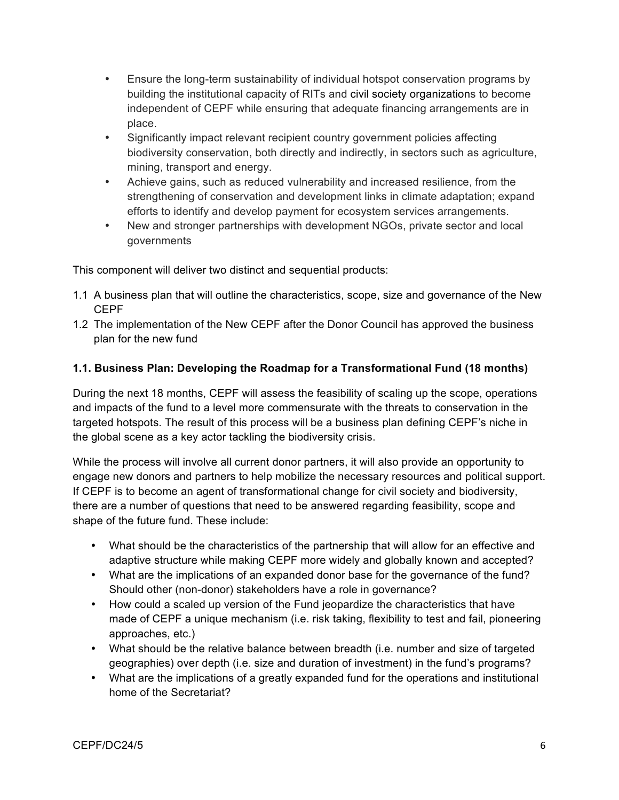- Ensure the long-term sustainability of individual hotspot conservation programs by building the institutional capacity of RITs and civil society organizations to become independent of CEPF while ensuring that adequate financing arrangements are in place.
- Significantly impact relevant recipient country government policies affecting biodiversity conservation, both directly and indirectly, in sectors such as agriculture, mining, transport and energy.
- Achieve gains, such as reduced vulnerability and increased resilience, from the strengthening of conservation and development links in climate adaptation; expand efforts to identify and develop payment for ecosystem services arrangements.
- New and stronger partnerships with development NGOs, private sector and local governments

This component will deliver two distinct and sequential products:

- 1.1 A business plan that will outline the characteristics, scope, size and governance of the New CEPF
- 1.2 The implementation of the New CEPF after the Donor Council has approved the business plan for the new fund

### **1.1. Business Plan: Developing the Roadmap for a Transformational Fund (18 months)**

During the next 18 months, CEPF will assess the feasibility of scaling up the scope, operations and impacts of the fund to a level more commensurate with the threats to conservation in the targeted hotspots. The result of this process will be a business plan defining CEPF's niche in the global scene as a key actor tackling the biodiversity crisis.

While the process will involve all current donor partners, it will also provide an opportunity to engage new donors and partners to help mobilize the necessary resources and political support. If CEPF is to become an agent of transformational change for civil society and biodiversity, there are a number of questions that need to be answered regarding feasibility, scope and shape of the future fund. These include:

- What should be the characteristics of the partnership that will allow for an effective and adaptive structure while making CEPF more widely and globally known and accepted?
- What are the implications of an expanded donor base for the governance of the fund? Should other (non-donor) stakeholders have a role in governance?
- How could a scaled up version of the Fund jeopardize the characteristics that have made of CEPF a unique mechanism (i.e. risk taking, flexibility to test and fail, pioneering approaches, etc.)
- What should be the relative balance between breadth (i.e. number and size of targeted geographies) over depth (i.e. size and duration of investment) in the fund's programs?
- What are the implications of a greatly expanded fund for the operations and institutional home of the Secretariat?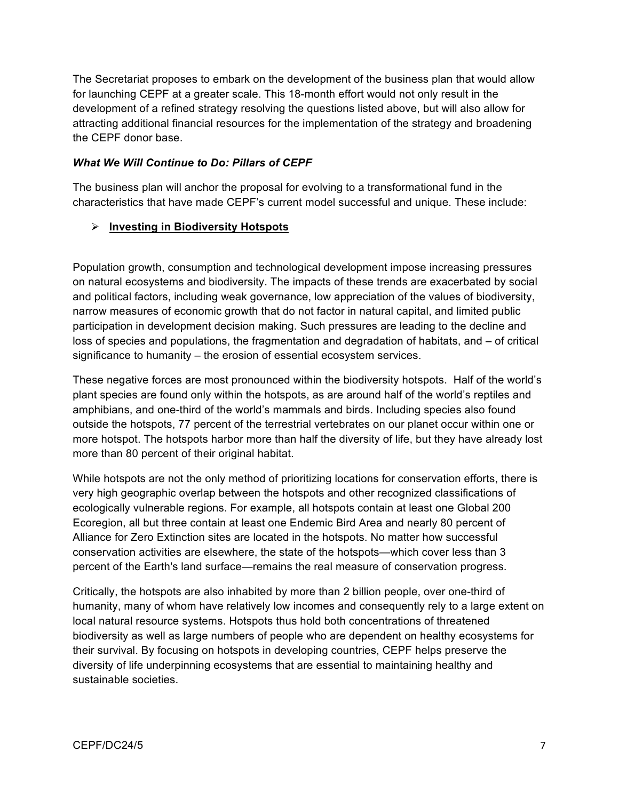The Secretariat proposes to embark on the development of the business plan that would allow for launching CEPF at a greater scale. This 18-month effort would not only result in the development of a refined strategy resolving the questions listed above, but will also allow for attracting additional financial resources for the implementation of the strategy and broadening the CEPF donor base.

#### *What We Will Continue to Do: Pillars of CEPF*

The business plan will anchor the proposal for evolving to a transformational fund in the characteristics that have made CEPF's current model successful and unique. These include:

### **Investing in Biodiversity Hotspots**

Population growth, consumption and technological development impose increasing pressures on natural ecosystems and biodiversity. The impacts of these trends are exacerbated by social and political factors, including weak governance, low appreciation of the values of biodiversity, narrow measures of economic growth that do not factor in natural capital, and limited public participation in development decision making. Such pressures are leading to the decline and loss of species and populations, the fragmentation and degradation of habitats, and – of critical significance to humanity – the erosion of essential ecosystem services.

These negative forces are most pronounced within the biodiversity hotspots. Half of the world's plant species are found only within the hotspots, as are around half of the world's reptiles and amphibians, and one-third of the world's mammals and birds. Including species also found outside the hotspots, 77 percent of the terrestrial vertebrates on our planet occur within one or more hotspot. The hotspots harbor more than half the diversity of life, but they have already lost more than 80 percent of their original habitat.

While hotspots are not the only method of prioritizing locations for conservation efforts, there is very high geographic overlap between the hotspots and other recognized classifications of ecologically vulnerable regions. For example, all hotspots contain at least one Global 200 Ecoregion, all but three contain at least one Endemic Bird Area and nearly 80 percent of Alliance for Zero Extinction sites are located in the hotspots. No matter how successful conservation activities are elsewhere, the state of the hotspots—which cover less than 3 percent of the Earth's land surface—remains the real measure of conservation progress.

Critically, the hotspots are also inhabited by more than 2 billion people, over one-third of humanity, many of whom have relatively low incomes and consequently rely to a large extent on local natural resource systems. Hotspots thus hold both concentrations of threatened biodiversity as well as large numbers of people who are dependent on healthy ecosystems for their survival. By focusing on hotspots in developing countries, CEPF helps preserve the diversity of life underpinning ecosystems that are essential to maintaining healthy and sustainable societies.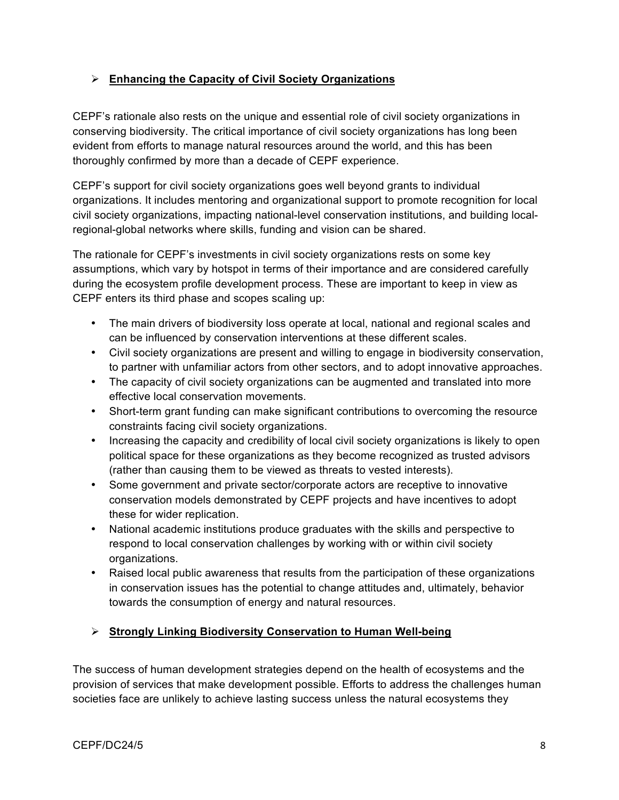## **Enhancing the Capacity of Civil Society Organizations**

CEPF's rationale also rests on the unique and essential role of civil society organizations in conserving biodiversity. The critical importance of civil society organizations has long been evident from efforts to manage natural resources around the world, and this has been thoroughly confirmed by more than a decade of CEPF experience.

CEPF's support for civil society organizations goes well beyond grants to individual organizations. It includes mentoring and organizational support to promote recognition for local civil society organizations, impacting national-level conservation institutions, and building localregional-global networks where skills, funding and vision can be shared.

The rationale for CEPF's investments in civil society organizations rests on some key assumptions, which vary by hotspot in terms of their importance and are considered carefully during the ecosystem profile development process. These are important to keep in view as CEPF enters its third phase and scopes scaling up:

- The main drivers of biodiversity loss operate at local, national and regional scales and can be influenced by conservation interventions at these different scales.
- Civil society organizations are present and willing to engage in biodiversity conservation, to partner with unfamiliar actors from other sectors, and to adopt innovative approaches.
- The capacity of civil society organizations can be augmented and translated into more effective local conservation movements.
- Short-term grant funding can make significant contributions to overcoming the resource constraints facing civil society organizations.
- Increasing the capacity and credibility of local civil society organizations is likely to open political space for these organizations as they become recognized as trusted advisors (rather than causing them to be viewed as threats to vested interests).
- Some government and private sector/corporate actors are receptive to innovative conservation models demonstrated by CEPF projects and have incentives to adopt these for wider replication.
- National academic institutions produce graduates with the skills and perspective to respond to local conservation challenges by working with or within civil society organizations.
- Raised local public awareness that results from the participation of these organizations in conservation issues has the potential to change attitudes and, ultimately, behavior towards the consumption of energy and natural resources.

### **Strongly Linking Biodiversity Conservation to Human Well-being**

The success of human development strategies depend on the health of ecosystems and the provision of services that make development possible. Efforts to address the challenges human societies face are unlikely to achieve lasting success unless the natural ecosystems they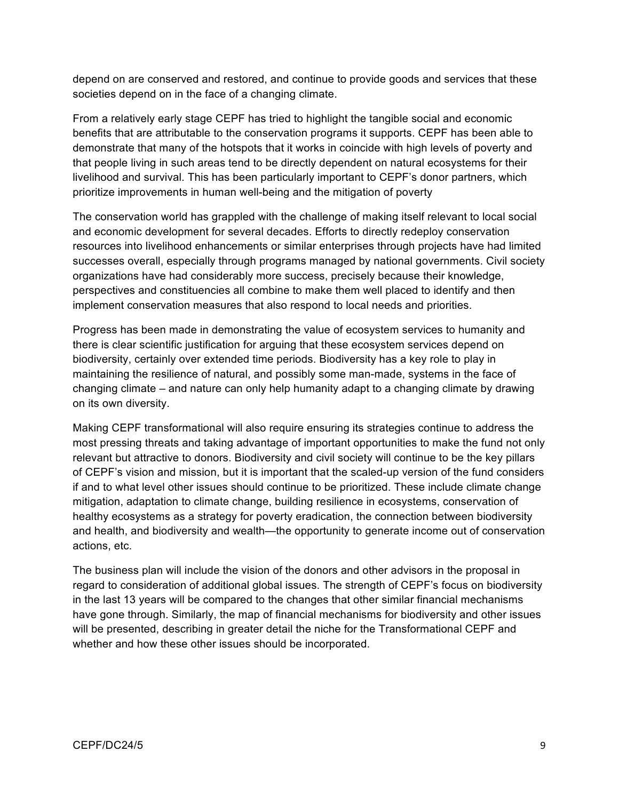depend on are conserved and restored, and continue to provide goods and services that these societies depend on in the face of a changing climate.

From a relatively early stage CEPF has tried to highlight the tangible social and economic benefits that are attributable to the conservation programs it supports. CEPF has been able to demonstrate that many of the hotspots that it works in coincide with high levels of poverty and that people living in such areas tend to be directly dependent on natural ecosystems for their livelihood and survival. This has been particularly important to CEPF's donor partners, which prioritize improvements in human well-being and the mitigation of poverty

The conservation world has grappled with the challenge of making itself relevant to local social and economic development for several decades. Efforts to directly redeploy conservation resources into livelihood enhancements or similar enterprises through projects have had limited successes overall, especially through programs managed by national governments. Civil society organizations have had considerably more success, precisely because their knowledge, perspectives and constituencies all combine to make them well placed to identify and then implement conservation measures that also respond to local needs and priorities.

Progress has been made in demonstrating the value of ecosystem services to humanity and there is clear scientific justification for arguing that these ecosystem services depend on biodiversity, certainly over extended time periods. Biodiversity has a key role to play in maintaining the resilience of natural, and possibly some man-made, systems in the face of changing climate – and nature can only help humanity adapt to a changing climate by drawing on its own diversity.

Making CEPF transformational will also require ensuring its strategies continue to address the most pressing threats and taking advantage of important opportunities to make the fund not only relevant but attractive to donors. Biodiversity and civil society will continue to be the key pillars of CEPF's vision and mission, but it is important that the scaled-up version of the fund considers if and to what level other issues should continue to be prioritized. These include climate change mitigation, adaptation to climate change, building resilience in ecosystems, conservation of healthy ecosystems as a strategy for poverty eradication, the connection between biodiversity and health, and biodiversity and wealth—the opportunity to generate income out of conservation actions, etc.

The business plan will include the vision of the donors and other advisors in the proposal in regard to consideration of additional global issues. The strength of CEPF's focus on biodiversity in the last 13 years will be compared to the changes that other similar financial mechanisms have gone through. Similarly, the map of financial mechanisms for biodiversity and other issues will be presented, describing in greater detail the niche for the Transformational CEPF and whether and how these other issues should be incorporated.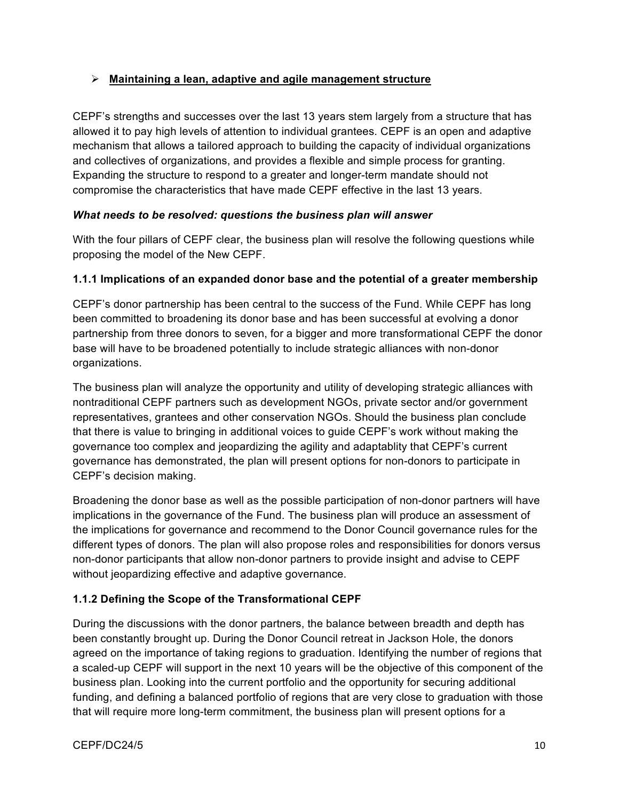### **Maintaining a lean, adaptive and agile management structure**

CEPF's strengths and successes over the last 13 years stem largely from a structure that has allowed it to pay high levels of attention to individual grantees. CEPF is an open and adaptive mechanism that allows a tailored approach to building the capacity of individual organizations and collectives of organizations, and provides a flexible and simple process for granting. Expanding the structure to respond to a greater and longer-term mandate should not compromise the characteristics that have made CEPF effective in the last 13 years.

#### *What needs to be resolved: questions the business plan will answer*

With the four pillars of CEPF clear, the business plan will resolve the following questions while proposing the model of the New CEPF.

### **1.1.1 Implications of an expanded donor base and the potential of a greater membership**

CEPF's donor partnership has been central to the success of the Fund. While CEPF has long been committed to broadening its donor base and has been successful at evolving a donor partnership from three donors to seven, for a bigger and more transformational CEPF the donor base will have to be broadened potentially to include strategic alliances with non-donor organizations.

The business plan will analyze the opportunity and utility of developing strategic alliances with nontraditional CEPF partners such as development NGOs, private sector and/or government representatives, grantees and other conservation NGOs. Should the business plan conclude that there is value to bringing in additional voices to guide CEPF's work without making the governance too complex and jeopardizing the agility and adaptablity that CEPF's current governance has demonstrated, the plan will present options for non-donors to participate in CEPF's decision making.

Broadening the donor base as well as the possible participation of non-donor partners will have implications in the governance of the Fund. The business plan will produce an assessment of the implications for governance and recommend to the Donor Council governance rules for the different types of donors. The plan will also propose roles and responsibilities for donors versus non-donor participants that allow non-donor partners to provide insight and advise to CEPF without jeopardizing effective and adaptive governance.

### **1.1.2 Defining the Scope of the Transformational CEPF**

During the discussions with the donor partners, the balance between breadth and depth has been constantly brought up. During the Donor Council retreat in Jackson Hole, the donors agreed on the importance of taking regions to graduation. Identifying the number of regions that a scaled-up CEPF will support in the next 10 years will be the objective of this component of the business plan. Looking into the current portfolio and the opportunity for securing additional funding, and defining a balanced portfolio of regions that are very close to graduation with those that will require more long-term commitment, the business plan will present options for a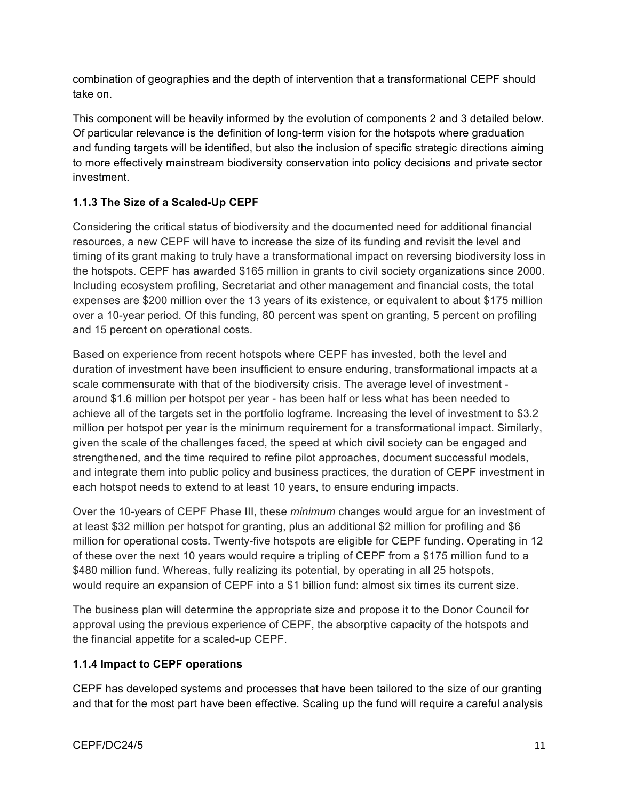combination of geographies and the depth of intervention that a transformational CEPF should take on.

This component will be heavily informed by the evolution of components 2 and 3 detailed below. Of particular relevance is the definition of long-term vision for the hotspots where graduation and funding targets will be identified, but also the inclusion of specific strategic directions aiming to more effectively mainstream biodiversity conservation into policy decisions and private sector investment.

# **1.1.3 The Size of a Scaled-Up CEPF**

Considering the critical status of biodiversity and the documented need for additional financial resources, a new CEPF will have to increase the size of its funding and revisit the level and timing of its grant making to truly have a transformational impact on reversing biodiversity loss in the hotspots. CEPF has awarded \$165 million in grants to civil society organizations since 2000. Including ecosystem profiling, Secretariat and other management and financial costs, the total expenses are \$200 million over the 13 years of its existence, or equivalent to about \$175 million over a 10-year period. Of this funding, 80 percent was spent on granting, 5 percent on profiling and 15 percent on operational costs.

Based on experience from recent hotspots where CEPF has invested, both the level and duration of investment have been insufficient to ensure enduring, transformational impacts at a scale commensurate with that of the biodiversity crisis. The average level of investment around \$1.6 million per hotspot per year - has been half or less what has been needed to achieve all of the targets set in the portfolio logframe. Increasing the level of investment to \$3.2 million per hotspot per year is the minimum requirement for a transformational impact. Similarly, given the scale of the challenges faced, the speed at which civil society can be engaged and strengthened, and the time required to refine pilot approaches, document successful models, and integrate them into public policy and business practices, the duration of CEPF investment in each hotspot needs to extend to at least 10 years, to ensure enduring impacts.

Over the 10-years of CEPF Phase III, these *minimum* changes would argue for an investment of at least \$32 million per hotspot for granting, plus an additional \$2 million for profiling and \$6 million for operational costs. Twenty-five hotspots are eligible for CEPF funding. Operating in 12 of these over the next 10 years would require a tripling of CEPF from a \$175 million fund to a \$480 million fund. Whereas, fully realizing its potential, by operating in all 25 hotspots, would require an expansion of CEPF into a \$1 billion fund: almost six times its current size.

The business plan will determine the appropriate size and propose it to the Donor Council for approval using the previous experience of CEPF, the absorptive capacity of the hotspots and the financial appetite for a scaled-up CEPF.

## **1.1.4 Impact to CEPF operations**

CEPF has developed systems and processes that have been tailored to the size of our granting and that for the most part have been effective. Scaling up the fund will require a careful analysis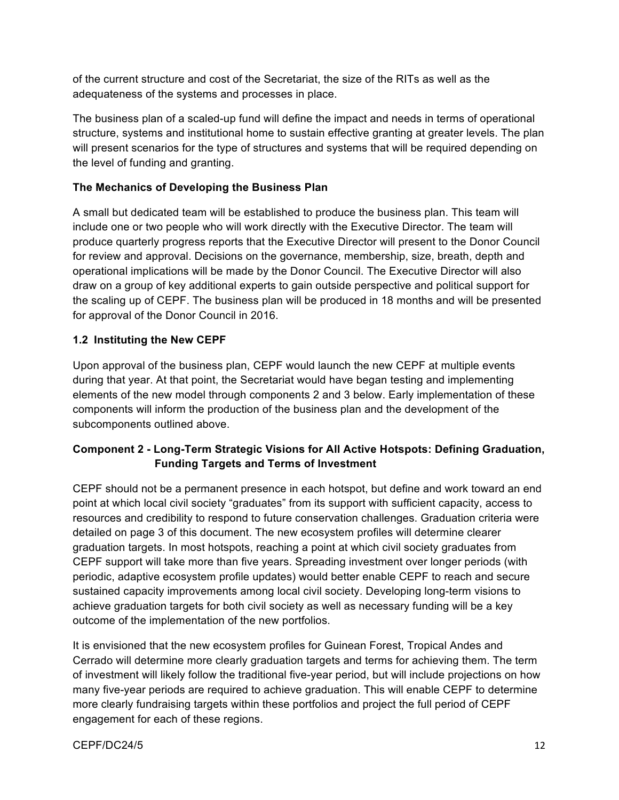of the current structure and cost of the Secretariat, the size of the RITs as well as the adequateness of the systems and processes in place.

The business plan of a scaled-up fund will define the impact and needs in terms of operational structure, systems and institutional home to sustain effective granting at greater levels. The plan will present scenarios for the type of structures and systems that will be required depending on the level of funding and granting.

## **The Mechanics of Developing the Business Plan**

A small but dedicated team will be established to produce the business plan. This team will include one or two people who will work directly with the Executive Director. The team will produce quarterly progress reports that the Executive Director will present to the Donor Council for review and approval. Decisions on the governance, membership, size, breath, depth and operational implications will be made by the Donor Council. The Executive Director will also draw on a group of key additional experts to gain outside perspective and political support for the scaling up of CEPF. The business plan will be produced in 18 months and will be presented for approval of the Donor Council in 2016.

## **1.2 Instituting the New CEPF**

Upon approval of the business plan, CEPF would launch the new CEPF at multiple events during that year. At that point, the Secretariat would have began testing and implementing elements of the new model through components 2 and 3 below. Early implementation of these components will inform the production of the business plan and the development of the subcomponents outlined above.

## **Component 2 - Long-Term Strategic Visions for All Active Hotspots: Defining Graduation, Funding Targets and Terms of Investment**

CEPF should not be a permanent presence in each hotspot, but define and work toward an end point at which local civil society "graduates" from its support with sufficient capacity, access to resources and credibility to respond to future conservation challenges. Graduation criteria were detailed on page 3 of this document. The new ecosystem profiles will determine clearer graduation targets. In most hotspots, reaching a point at which civil society graduates from CEPF support will take more than five years. Spreading investment over longer periods (with periodic, adaptive ecosystem profile updates) would better enable CEPF to reach and secure sustained capacity improvements among local civil society. Developing long-term visions to achieve graduation targets for both civil society as well as necessary funding will be a key outcome of the implementation of the new portfolios.

It is envisioned that the new ecosystem profiles for Guinean Forest, Tropical Andes and Cerrado will determine more clearly graduation targets and terms for achieving them. The term of investment will likely follow the traditional five-year period, but will include projections on how many five-year periods are required to achieve graduation. This will enable CEPF to determine more clearly fundraising targets within these portfolios and project the full period of CEPF engagement for each of these regions.

CEPF/DC24/5 22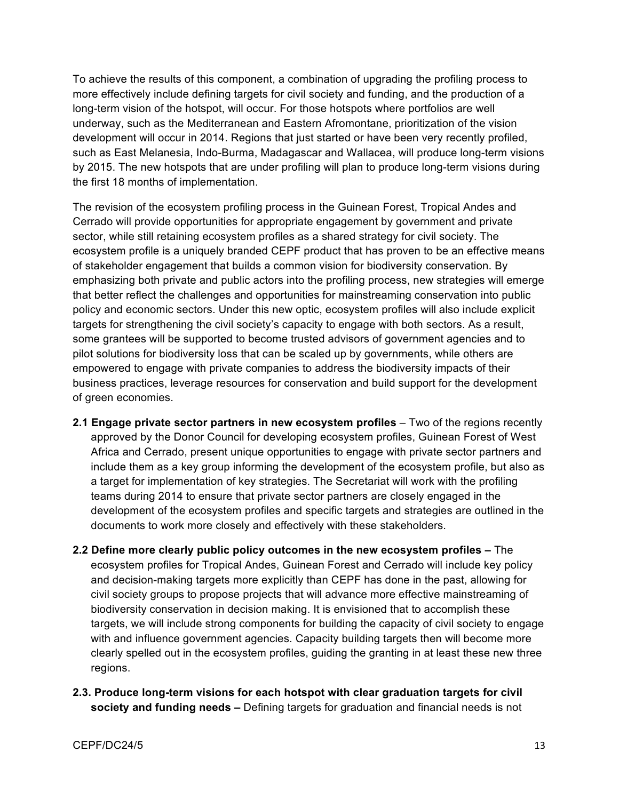To achieve the results of this component, a combination of upgrading the profiling process to more effectively include defining targets for civil society and funding, and the production of a long-term vision of the hotspot, will occur. For those hotspots where portfolios are well underway, such as the Mediterranean and Eastern Afromontane, prioritization of the vision development will occur in 2014. Regions that just started or have been very recently profiled, such as East Melanesia, Indo-Burma, Madagascar and Wallacea, will produce long-term visions by 2015. The new hotspots that are under profiling will plan to produce long-term visions during the first 18 months of implementation.

The revision of the ecosystem profiling process in the Guinean Forest, Tropical Andes and Cerrado will provide opportunities for appropriate engagement by government and private sector, while still retaining ecosystem profiles as a shared strategy for civil society. The ecosystem profile is a uniquely branded CEPF product that has proven to be an effective means of stakeholder engagement that builds a common vision for biodiversity conservation. By emphasizing both private and public actors into the profiling process, new strategies will emerge that better reflect the challenges and opportunities for mainstreaming conservation into public policy and economic sectors. Under this new optic, ecosystem profiles will also include explicit targets for strengthening the civil society's capacity to engage with both sectors. As a result, some grantees will be supported to become trusted advisors of government agencies and to pilot solutions for biodiversity loss that can be scaled up by governments, while others are empowered to engage with private companies to address the biodiversity impacts of their business practices, leverage resources for conservation and build support for the development of green economies.

- **2.1 Engage private sector partners in new ecosystem profiles** Two of the regions recently approved by the Donor Council for developing ecosystem profiles, Guinean Forest of West Africa and Cerrado, present unique opportunities to engage with private sector partners and include them as a key group informing the development of the ecosystem profile, but also as a target for implementation of key strategies. The Secretariat will work with the profiling teams during 2014 to ensure that private sector partners are closely engaged in the development of the ecosystem profiles and specific targets and strategies are outlined in the documents to work more closely and effectively with these stakeholders.
- **2.2 Define more clearly public policy outcomes in the new ecosystem profiles –** The ecosystem profiles for Tropical Andes, Guinean Forest and Cerrado will include key policy and decision-making targets more explicitly than CEPF has done in the past, allowing for civil society groups to propose projects that will advance more effective mainstreaming of biodiversity conservation in decision making. It is envisioned that to accomplish these targets, we will include strong components for building the capacity of civil society to engage with and influence government agencies. Capacity building targets then will become more clearly spelled out in the ecosystem profiles, guiding the granting in at least these new three regions.
- **2.3. Produce long-term visions for each hotspot with clear graduation targets for civil society and funding needs –** Defining targets for graduation and financial needs is not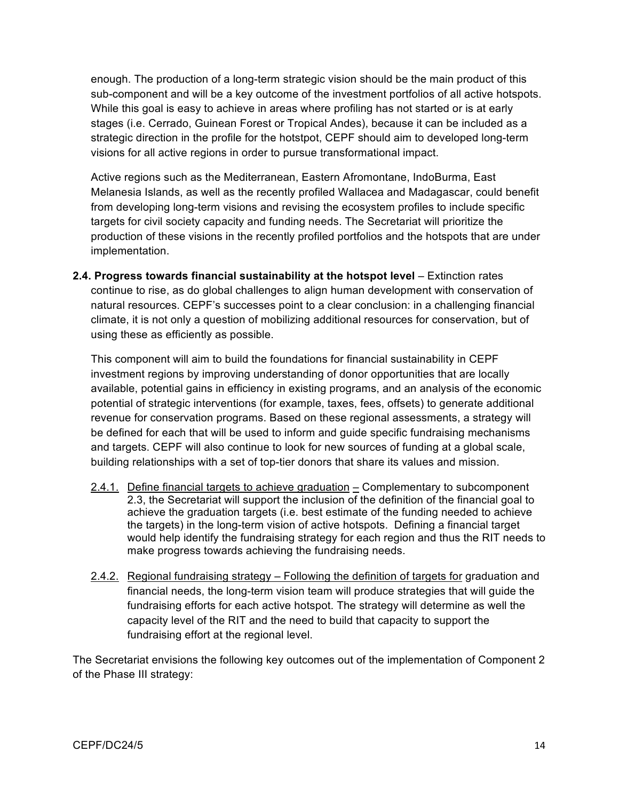enough. The production of a long-term strategic vision should be the main product of this sub-component and will be a key outcome of the investment portfolios of all active hotspots. While this goal is easy to achieve in areas where profiling has not started or is at early stages (i.e. Cerrado, Guinean Forest or Tropical Andes), because it can be included as a strategic direction in the profile for the hotstpot, CEPF should aim to developed long-term visions for all active regions in order to pursue transformational impact.

Active regions such as the Mediterranean, Eastern Afromontane, IndoBurma, East Melanesia Islands, as well as the recently profiled Wallacea and Madagascar, could benefit from developing long-term visions and revising the ecosystem profiles to include specific targets for civil society capacity and funding needs. The Secretariat will prioritize the production of these visions in the recently profiled portfolios and the hotspots that are under implementation.

**2.4. Progress towards financial sustainability at the hotspot level** – Extinction rates continue to rise, as do global challenges to align human development with conservation of natural resources. CEPF's successes point to a clear conclusion: in a challenging financial climate, it is not only a question of mobilizing additional resources for conservation, but of using these as efficiently as possible.

This component will aim to build the foundations for financial sustainability in CEPF investment regions by improving understanding of donor opportunities that are locally available, potential gains in efficiency in existing programs, and an analysis of the economic potential of strategic interventions (for example, taxes, fees, offsets) to generate additional revenue for conservation programs. Based on these regional assessments, a strategy will be defined for each that will be used to inform and guide specific fundraising mechanisms and targets. CEPF will also continue to look for new sources of funding at a global scale, building relationships with a set of top-tier donors that share its values and mission.

- 2.4.1. Define financial targets to achieve graduation Complementary to subcomponent 2.3, the Secretariat will support the inclusion of the definition of the financial goal to achieve the graduation targets (i.e. best estimate of the funding needed to achieve the targets) in the long-term vision of active hotspots. Defining a financial target would help identify the fundraising strategy for each region and thus the RIT needs to make progress towards achieving the fundraising needs.
- 2.4.2. Regional fundraising strategy Following the definition of targets for graduation and financial needs, the long-term vision team will produce strategies that will guide the fundraising efforts for each active hotspot. The strategy will determine as well the capacity level of the RIT and the need to build that capacity to support the fundraising effort at the regional level.

The Secretariat envisions the following key outcomes out of the implementation of Component 2 of the Phase III strategy: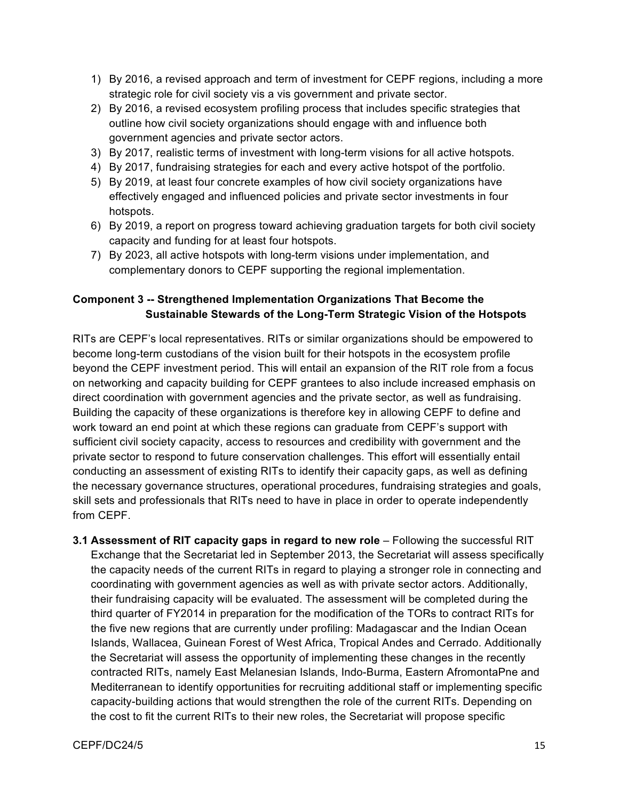- 1) By 2016, a revised approach and term of investment for CEPF regions, including a more strategic role for civil society vis a vis government and private sector.
- 2) By 2016, a revised ecosystem profiling process that includes specific strategies that outline how civil society organizations should engage with and influence both government agencies and private sector actors.
- 3) By 2017, realistic terms of investment with long-term visions for all active hotspots.
- 4) By 2017, fundraising strategies for each and every active hotspot of the portfolio.
- 5) By 2019, at least four concrete examples of how civil society organizations have effectively engaged and influenced policies and private sector investments in four hotspots.
- 6) By 2019, a report on progress toward achieving graduation targets for both civil society capacity and funding for at least four hotspots.
- 7) By 2023, all active hotspots with long-term visions under implementation, and complementary donors to CEPF supporting the regional implementation.

## **Component 3 -- Strengthened Implementation Organizations That Become the Sustainable Stewards of the Long-Term Strategic Vision of the Hotspots**

RITs are CEPF's local representatives. RITs or similar organizations should be empowered to become long-term custodians of the vision built for their hotspots in the ecosystem profile beyond the CEPF investment period. This will entail an expansion of the RIT role from a focus on networking and capacity building for CEPF grantees to also include increased emphasis on direct coordination with government agencies and the private sector, as well as fundraising. Building the capacity of these organizations is therefore key in allowing CEPF to define and work toward an end point at which these regions can graduate from CEPF's support with sufficient civil society capacity, access to resources and credibility with government and the private sector to respond to future conservation challenges. This effort will essentially entail conducting an assessment of existing RITs to identify their capacity gaps, as well as defining the necessary governance structures, operational procedures, fundraising strategies and goals, skill sets and professionals that RITs need to have in place in order to operate independently from CEPF.

**3.1 Assessment of RIT capacity gaps in regard to new role** – Following the successful RIT Exchange that the Secretariat led in September 2013, the Secretariat will assess specifically the capacity needs of the current RITs in regard to playing a stronger role in connecting and coordinating with government agencies as well as with private sector actors. Additionally, their fundraising capacity will be evaluated. The assessment will be completed during the third quarter of FY2014 in preparation for the modification of the TORs to contract RITs for the five new regions that are currently under profiling: Madagascar and the Indian Ocean Islands, Wallacea, Guinean Forest of West Africa, Tropical Andes and Cerrado. Additionally the Secretariat will assess the opportunity of implementing these changes in the recently contracted RITs, namely East Melanesian Islands, Indo-Burma, Eastern AfromontaPne and Mediterranean to identify opportunities for recruiting additional staff or implementing specific capacity-building actions that would strengthen the role of the current RITs. Depending on the cost to fit the current RITs to their new roles, the Secretariat will propose specific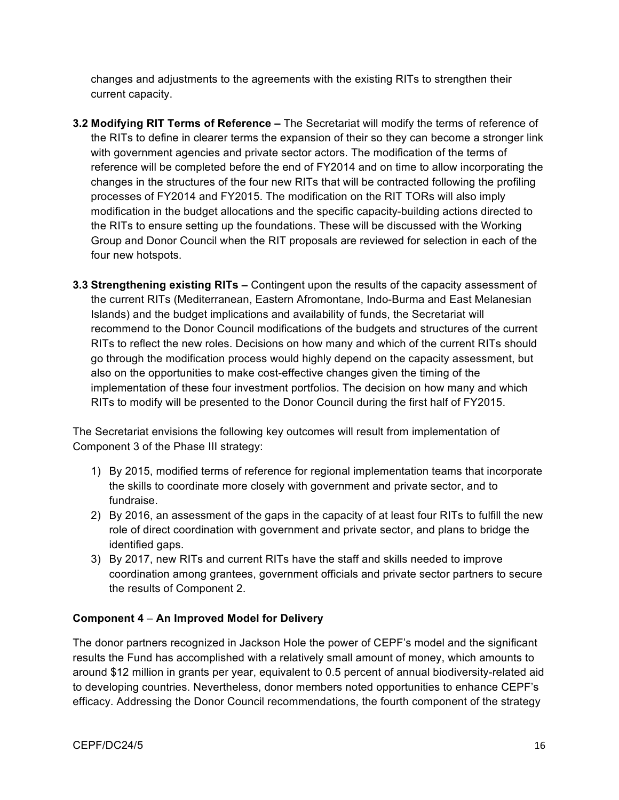changes and adjustments to the agreements with the existing RITs to strengthen their current capacity.

- **3.2 Modifying RIT Terms of Reference –** The Secretariat will modify the terms of reference of the RITs to define in clearer terms the expansion of their so they can become a stronger link with government agencies and private sector actors. The modification of the terms of reference will be completed before the end of FY2014 and on time to allow incorporating the changes in the structures of the four new RITs that will be contracted following the profiling processes of FY2014 and FY2015. The modification on the RIT TORs will also imply modification in the budget allocations and the specific capacity-building actions directed to the RITs to ensure setting up the foundations. These will be discussed with the Working Group and Donor Council when the RIT proposals are reviewed for selection in each of the four new hotspots.
- **3.3 Strengthening existing RITs –** Contingent upon the results of the capacity assessment of the current RITs (Mediterranean, Eastern Afromontane, Indo-Burma and East Melanesian Islands) and the budget implications and availability of funds, the Secretariat will recommend to the Donor Council modifications of the budgets and structures of the current RITs to reflect the new roles. Decisions on how many and which of the current RITs should go through the modification process would highly depend on the capacity assessment, but also on the opportunities to make cost-effective changes given the timing of the implementation of these four investment portfolios. The decision on how many and which RITs to modify will be presented to the Donor Council during the first half of FY2015.

The Secretariat envisions the following key outcomes will result from implementation of Component 3 of the Phase III strategy:

- 1) By 2015, modified terms of reference for regional implementation teams that incorporate the skills to coordinate more closely with government and private sector, and to fundraise.
- 2) By 2016, an assessment of the gaps in the capacity of at least four RITs to fulfill the new role of direct coordination with government and private sector, and plans to bridge the identified gaps.
- 3) By 2017, new RITs and current RITs have the staff and skills needed to improve coordination among grantees, government officials and private sector partners to secure the results of Component 2.

### **Component 4** – **An Improved Model for Delivery**

The donor partners recognized in Jackson Hole the power of CEPF's model and the significant results the Fund has accomplished with a relatively small amount of money, which amounts to around \$12 million in grants per year, equivalent to 0.5 percent of annual biodiversity-related aid to developing countries. Nevertheless, donor members noted opportunities to enhance CEPF's efficacy. Addressing the Donor Council recommendations, the fourth component of the strategy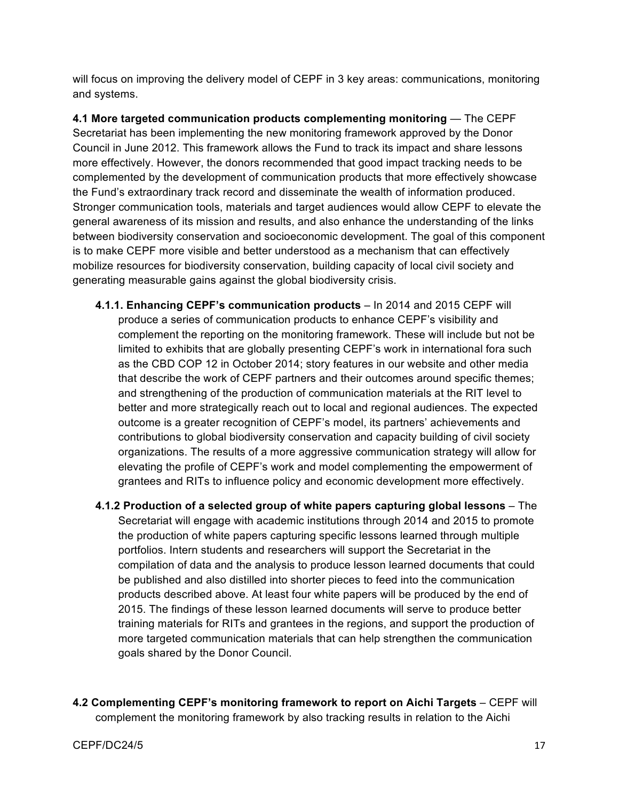will focus on improving the delivery model of CEPF in 3 key areas: communications, monitoring and systems.

**4.1 More targeted communication products complementing monitoring** — The CEPF Secretariat has been implementing the new monitoring framework approved by the Donor Council in June 2012. This framework allows the Fund to track its impact and share lessons more effectively. However, the donors recommended that good impact tracking needs to be complemented by the development of communication products that more effectively showcase the Fund's extraordinary track record and disseminate the wealth of information produced. Stronger communication tools, materials and target audiences would allow CEPF to elevate the general awareness of its mission and results, and also enhance the understanding of the links between biodiversity conservation and socioeconomic development. The goal of this component is to make CEPF more visible and better understood as a mechanism that can effectively mobilize resources for biodiversity conservation, building capacity of local civil society and generating measurable gains against the global biodiversity crisis.

- **4.1.1. Enhancing CEPF's communication products**  In 2014 and 2015 CEPF will produce a series of communication products to enhance CEPF's visibility and complement the reporting on the monitoring framework. These will include but not be limited to exhibits that are globally presenting CEPF's work in international fora such as the CBD COP 12 in October 2014; story features in our website and other media that describe the work of CEPF partners and their outcomes around specific themes; and strengthening of the production of communication materials at the RIT level to better and more strategically reach out to local and regional audiences. The expected outcome is a greater recognition of CEPF's model, its partners' achievements and contributions to global biodiversity conservation and capacity building of civil society organizations. The results of a more aggressive communication strategy will allow for elevating the profile of CEPF's work and model complementing the empowerment of grantees and RITs to influence policy and economic development more effectively.
- **4.1.2 Production of a selected group of white papers capturing global lessons**  The Secretariat will engage with academic institutions through 2014 and 2015 to promote the production of white papers capturing specific lessons learned through multiple portfolios. Intern students and researchers will support the Secretariat in the compilation of data and the analysis to produce lesson learned documents that could be published and also distilled into shorter pieces to feed into the communication products described above. At least four white papers will be produced by the end of 2015. The findings of these lesson learned documents will serve to produce better training materials for RITs and grantees in the regions, and support the production of more targeted communication materials that can help strengthen the communication goals shared by the Donor Council.
- **4.2 Complementing CEPF's monitoring framework to report on Aichi Targets** CEPF will complement the monitoring framework by also tracking results in relation to the Aichi